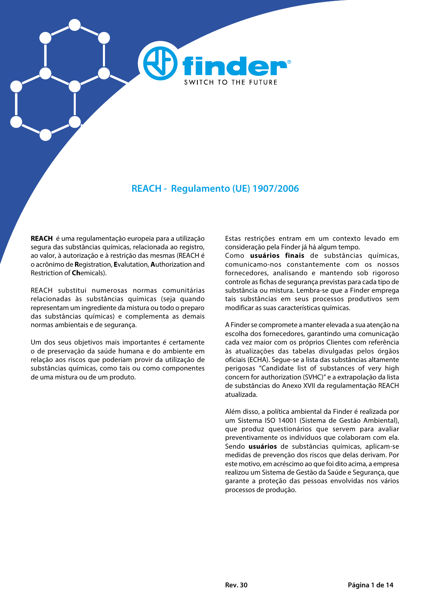

### **REACH - Regulamento (UE) 1907/2006**

**REACH** é uma regulamentação europeia para a utilização segura das substâncias químicas, relacionada ao registro, ao valor, à autorização e à restrição das mesmas (REACH é o acrônimo de **R**egistration, **E**valutation, **A**uthorization and Restriction of **Ch**emicals).

REACH substitui numerosas normas comunitárias relacionadas às substâncias químicas (seja quando representam um ingrediente da mistura ou todo o preparo das substâncias químicas) e complementa as demais normas ambientais e de segurança.

Um dos seus objetivos mais importantes é certamente o de preservação da saúde humana e do ambiente em relação aos riscos que poderiam provir da utilização de substâncias químicas, como tais ou como componentes de uma mistura ou de um produto.

Estas restrições entram em um contexto levado em consideração pela Finder já há algum tempo.

Como **usuários finais** de substâncias químicas, comunicamo-nos constantemente com os nossos fornecedores, analisando e mantendo sob rigoroso controle as fichas de segurança previstas para cada tipo de substância ou mistura. Lembra-se que a Finder emprega tais substâncias em seus processos produtivos sem modificar as suas características químicas.

A Finder se compromete a manter elevada a sua atenção na escolha dos fornecedores, garantindo uma comunicação cada vez maior com os próprios Clientes com referência às atualizações das tabelas divulgadas pelos órgãos oficiais (ECHA). Segue-se a lista das substâncias altamente perigosas "Candidate list of substances of very high concern for authorization (SVHC)" e a extrapolação da lista de substâncias do Anexo XVII da regulamentação REACH atualizada.

Além disso, a política ambiental da Finder é realizada por um Sistema ISO 14001 (Sistema de Gestão Ambiental), que produz questionários que servem para avaliar preventivamente os indivíduos que colaboram com ela. Sendo **usuários** de substâncias químicas, aplicam-se medidas de prevenção dos riscos que delas derivam. Por este motivo, em acréscimo ao que foi dito acima, a empresa realizou um Sistema de Gestão da Saúde e Segurança, que garante a proteção das pessoas envolvidas nos vários processos de produção.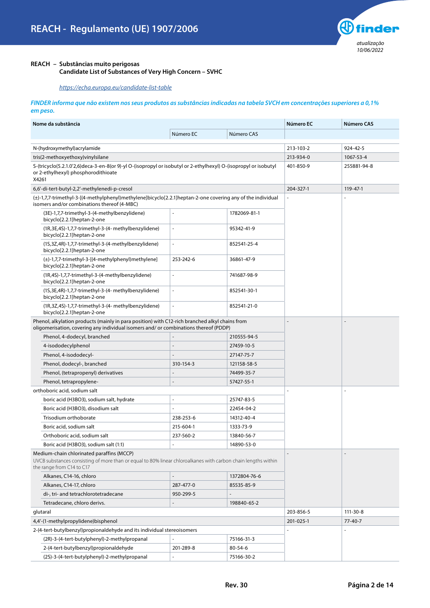

### **REACH – Substâncias muito perigosas**

 **Candidate List of Substances of Very High Concern – SVHC**

*<https://echa.europa.eu/candidate-list-table>*

#### *FINDER informa que não existem nos seus produtos as substâncias indicadas na tabela SVCH em concentrações superiores a 0,1% em peso.*

| Nome da substância                                                                                                                                                                      |                          |              | Número EC                | Número CAS  |
|-----------------------------------------------------------------------------------------------------------------------------------------------------------------------------------------|--------------------------|--------------|--------------------------|-------------|
|                                                                                                                                                                                         | Número EC                | Número CAS   |                          |             |
| N-(hydroxymethyl) acrylamide                                                                                                                                                            |                          |              | 213-103-2                | 924-42-5    |
| tris(2-methoxyethoxy)vinylsilane                                                                                                                                                        |                          |              | 213-934-0                | 1067-53-4   |
| S-(tricyclo(5.2.1.0'2,6)deca-3-en-8(or 9)-yl O-(isopropyl or isobutyl or 2-ethylhexyl) O-(isopropyl or isobutyl<br>or 2-ethylhexyl) phosphorodithioate<br>X4261                         |                          |              | 401-850-9                | 255881-94-8 |
| 6,6'-di-tert-butyl-2,2'-methylenedi-p-cresol                                                                                                                                            |                          |              | 204-327-1                | 119-47-1    |
| $(\pm)$ -1,7,7-trimethyl-3-[(4-methylphenyl)methylene]bicyclo[2.2.1]heptan-2-one covering any of the individual<br>isomers and/or combinations thereof (4-MBC)                          |                          |              | $\overline{\phantom{a}}$ |             |
| (3E)-1,7,7-trimethyl-3-(4-methylbenzylidene)<br>bicyclo[2.2.1]heptan-2-one                                                                                                              | $\overline{\phantom{a}}$ | 1782069-81-1 |                          |             |
| (1R, 3E, 4S)-1, 7, 7-trimethyl-3-(4- methylbenzylidene)<br>bicyclo[2.2.1]heptan-2-one                                                                                                   |                          | 95342-41-9   |                          |             |
| (1S, 3Z, 4R)-1, 7, 7-trimethyl-3-(4-methylbenzylidene)<br>bicyclo[2.2.1]heptan-2-one                                                                                                    | $\blacksquare$           | 852541-25-4  |                          |             |
| (±)-1,7,7-trimethyl-3-[(4-methylphenyl)methylene]<br>bicyclo[2.2.1]heptan-2-one                                                                                                         | 253-242-6                | 36861-47-9   |                          |             |
| (1R,4S)-1,7,7-trimethyl-3-(4-methylbenzylidene)<br>bicyclo[2.2.1]heptan-2-one                                                                                                           | $\Box$                   | 741687-98-9  |                          |             |
| (1S, 3E, 4R) - 1, 7, 7-trimethyl-3-(4- methylbenzylidene)<br>bicyclo[2.2.1]heptan-2-one                                                                                                 | $\blacksquare$           | 852541-30-1  |                          |             |
| (1R,3Z,4S)-1,7,7-trimethyl-3-(4- methylbenzylidene)<br>bicyclo[2.2.1]heptan-2-one                                                                                                       | $\blacksquare$           | 852541-21-0  |                          |             |
| Phenol, alkylation products (mainly in para position) with C12-rich branched alkyl chains from<br>oligomerisation, covering any individual isomers and/or combinations thereof (PDDP)   |                          |              |                          |             |
| Phenol, 4-dodecyl, branched                                                                                                                                                             |                          | 210555-94-5  |                          |             |
| 4-isododecylphenol                                                                                                                                                                      |                          | 27459-10-5   |                          |             |
| Phenol, 4-isododecyl-                                                                                                                                                                   |                          | 27147-75-7   |                          |             |
| Phenol, dodecyl-, branched                                                                                                                                                              | 310-154-3                | 121158-58-5  |                          |             |
| Phenol, (tetrapropenyl) derivatives                                                                                                                                                     |                          | 74499-35-7   |                          |             |
| Phenol, tetrapropylene-                                                                                                                                                                 |                          | 57427-55-1   |                          |             |
| orthoboric acid, sodium salt                                                                                                                                                            |                          |              |                          |             |
| boric acid (H3BO3), sodium salt, hydrate                                                                                                                                                | $\overline{a}$           | 25747-83-5   |                          |             |
| Boric acid (H3BO3), disodium salt                                                                                                                                                       |                          | 22454-04-2   |                          |             |
| Trisodium orthoborate                                                                                                                                                                   | 238-253-6                | 14312-40-4   |                          |             |
| Boric acid, sodium salt                                                                                                                                                                 | 215-604-1                | 1333-73-9    |                          |             |
| Orthoboric acid, sodium salt                                                                                                                                                            | 237-560-2                | 13840-56-7   |                          |             |
| Boric acid (H3BO3), sodium salt (1:1)                                                                                                                                                   |                          | 14890-53-0   |                          |             |
| Medium-chain chlorinated paraffins (MCCP)<br>UVCB substances consisting of more than or equal to 80% linear chloroalkanes with carbon chain lengths within<br>the range from C14 to C17 |                          |              |                          |             |
| Alkanes, C14-16, chloro                                                                                                                                                                 |                          | 1372804-76-6 |                          |             |
| Alkanes, C14-17, chloro                                                                                                                                                                 | 287-477-0                | 85535-85-9   |                          |             |
| di-, tri- and tetrachlorotetradecane                                                                                                                                                    | 950-299-5                |              |                          |             |
| Tetradecane, chloro derivs.                                                                                                                                                             |                          | 198840-65-2  |                          |             |
| glutaral                                                                                                                                                                                |                          |              | 203-856-5                | 111-30-8    |
| 4,4'-(1-methylpropylidene)bisphenol                                                                                                                                                     |                          |              | 201-025-1                | 77-40-7     |
| 2-(4-tert-butylbenzyl)propionaldehyde and its individual stereoisomers                                                                                                                  |                          |              | ä,                       |             |
| (2R)-3-(4-tert-butylphenyl)-2-methylpropanal                                                                                                                                            |                          | 75166-31-3   |                          |             |
| 2-(4-tert-butylbenzyl)propionaldehyde                                                                                                                                                   | 201-289-8                | 80-54-6      |                          |             |
| (2S)-3-(4-tert-butylphenyl)-2-methylpropanal                                                                                                                                            |                          | 75166-30-2   |                          |             |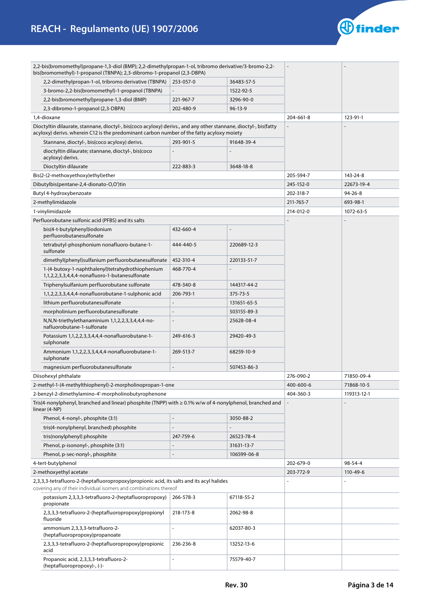

| 2,2-bis(bromomethyl)propane-1,3-diol (BMP); 2,2-dimethylpropan-1-ol, tribromo derivative/3-bromo-2,2-<br>bis(bromomethyl)-1-propanol (TBNPA); 2,3-dibromo-1-propanol (2,3-DBPA) |                          |               |                |               |
|---------------------------------------------------------------------------------------------------------------------------------------------------------------------------------|--------------------------|---------------|----------------|---------------|
| 2,2-dimethylpropan-1-ol, tribromo derivative (TBNPA)                                                                                                                            | 253-057-0                | 36483-57-5    |                |               |
| 3-bromo-2,2-bis(bromomethyl)-1-propanol (TBNPA)                                                                                                                                 |                          | 1522-92-5     |                |               |
| 2,2-bis(bromomethyl)propane-1,3-diol (BMP)                                                                                                                                      | 221-967-7                | 3296-90-0     |                |               |
| 2,3-dibromo-1-propanol (2,3-DBPA)                                                                                                                                               | 202-480-9                | $96 - 13 - 9$ |                |               |
| 1,4-dioxane                                                                                                                                                                     |                          |               | 204-661-8      | 123-91-1      |
| Dioctyltin dilaurate, stannane, dioctyl-, bis(coco acyloxy) derivs., and any other stannane, dioctyl-, bis(fatty                                                                |                          |               |                |               |
| acyloxy) derivs. wherein C12 is the predominant carbon number of the fatty acyloxy moiety                                                                                       |                          |               |                |               |
| Stannane, dioctyl-, bis(coco acyloxy) derivs.                                                                                                                                   | 293-901-5                | 91648-39-4    |                |               |
| dioctyltin dilaurate; stannane, dioctyl-, bis(coco<br>acyloxy) derivs.                                                                                                          |                          |               |                |               |
| Dioctyltin dilaurate                                                                                                                                                            | 222-883-3                | 3648-18-8     |                |               |
| Bis(2-(2-methoxyethoxy)ethyl)ether                                                                                                                                              |                          |               | 205-594-7      | 143-24-8      |
| Dibutylbis(pentane-2,4-dionato-O,O')tin                                                                                                                                         |                          |               | 245-152-0      | 22673-19-4    |
| Butyl 4-hydroxybenzoate                                                                                                                                                         |                          |               | 202-318-7      | $94 - 26 - 8$ |
| 2-methylimidazole                                                                                                                                                               |                          |               | 211-765-7      | 693-98-1      |
| 1-vinylimidazole                                                                                                                                                                |                          |               | 214-012-0      | 1072-63-5     |
| Perfluorobutane sulfonic acid (PFBS) and its salts                                                                                                                              |                          |               | $\overline{a}$ |               |
| bis(4-t-butylphenyl)iodonium<br>perfluorobutanesulfonate                                                                                                                        | 432-660-4                |               |                |               |
| tetrabutyl-phosphonium nonafluoro-butane-1-<br>sulfonate                                                                                                                        | 444-440-5                | 220689-12-3   |                |               |
| dimethyl(phenyl)sulfanium perfluorobutanesulfonate                                                                                                                              | 452-310-4                | 220133-51-7   |                |               |
| 1-(4-butoxy-1-naphthalenyl)tetrahydrothiophenium                                                                                                                                | 468-770-4                |               |                |               |
| 1,1,2,2,3,3,4,4,4-nonafluoro-1-butanesulfonate                                                                                                                                  |                          |               |                |               |
| Triphenylsulfanium perfluorobutane sulfonate                                                                                                                                    | 478-340-8                | 144317-44-2   |                |               |
| 1,1,2,2,3,3,4,4,4-nonafluorobutane-1-sulphonic acid                                                                                                                             | 206-793-1                | 375-73-5      |                |               |
| lithium perfluorobutanesulfonate                                                                                                                                                |                          | 131651-65-5   |                |               |
| morpholinium perfluorobutanesulfonate                                                                                                                                           |                          | 503155-89-3   |                |               |
| N,N,N-triethylethanaminium 1,1,2,2,3,3,4,4,4-no-<br>nafluorobutane-1-sulfonate                                                                                                  |                          | 25628-08-4    |                |               |
| Potassium 1,1,2,2,3,3,4,4,4-nonafluorobutane-1-<br>sulphonate                                                                                                                   | 249-616-3                | 29420-49-3    |                |               |
| Ammonium 1,1,2,2,3,3,4,4,4-nonafluorobutane-1-<br>sulphonate                                                                                                                    | 269-513-7                | 68259-10-9    |                |               |
| magnesium perfluorobutanesulfonate                                                                                                                                              | $\overline{\phantom{a}}$ | 507453-86-3   |                |               |
| Diisohexyl phthalate                                                                                                                                                            |                          |               | 276-090-2      | 71850-09-4    |
| 2-methyl-1-(4-methylthiophenyl)-2-morpholinopropan-1-one                                                                                                                        |                          |               | 400-600-6      | 71868-10-5    |
| 2-benzyl-2-dimethylamino-4'-morpholinobutyrophenone                                                                                                                             |                          |               | 404-360-3      | 119313-12-1   |
| Tris(4-nonylphenyl, branched and linear) phosphite (TNPP) with ≥ 0.1% w/w of 4-nonylphenol, branched and<br>linear (4-NP)                                                       |                          |               |                |               |
| Phenol, 4-nonyl-, phosphite (3:1)                                                                                                                                               |                          | 3050-88-2     |                |               |
| tris(4-nonylphenyl, branched) phosphite                                                                                                                                         |                          |               |                |               |
| tris(nonylphenyl) phosphite                                                                                                                                                     | 247-759-6                | 26523-78-4    |                |               |
| Phenol, p-isononyl-, phosphite (3:1)                                                                                                                                            |                          | 31631-13-7    |                |               |
| Phenol, p-sec-nonyl-, phosphite                                                                                                                                                 |                          | 106599-06-8   |                |               |
| 4-tert-butylphenol                                                                                                                                                              |                          |               | 202-679-0      | 98-54-4       |
| 2-methoxyethyl acetate                                                                                                                                                          |                          |               | 203-772-9      | 110-49-6      |
| 2,3,3,3-tetrafluoro-2-(heptafluoropropoxy)propionic acid, its salts and its acyl halides                                                                                        |                          |               |                |               |
| covering any of their individual isomers and combinations thereof                                                                                                               |                          |               |                |               |
| potassium 2,3,3,3-tetrafluoro-2-(heptafluoropropoxy)<br>propionate                                                                                                              | 266-578-3                | 67118-55-2    |                |               |
| 2,3,3,3-tetrafluoro-2-(heptafluoropropoxy)propionyl<br>fluoride                                                                                                                 | 218-173-8                | 2062-98-8     |                |               |
| ammonium 2,3,3,3-tetrafluoro-2-<br>(heptafluoropropoxy)propanoate                                                                                                               | $\overline{a}$           | 62037-80-3    |                |               |
| 2,3,3,3-tetrafluoro-2-(heptafluoropropoxy)propionic<br>acid                                                                                                                     | 236-236-8                | 13252-13-6    |                |               |
| Propanoic acid, 2,3,3,3-tetrafluoro-2-<br>(heptafluoropropoxy)-, (-)-                                                                                                           |                          | 75579-40-7    |                |               |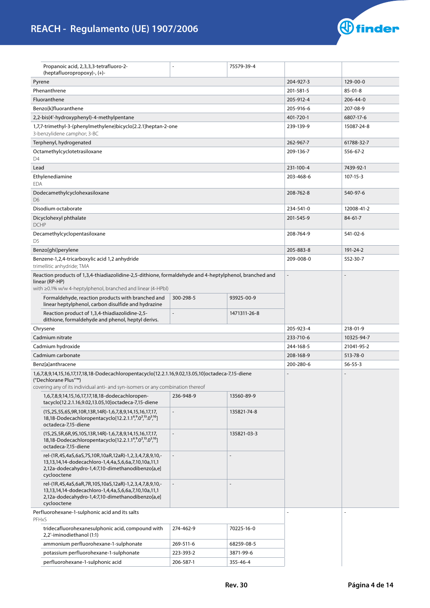

| Propanoic acid, 2,3,3,3-tetrafluoro-2-<br>(heptafluoropropoxy)-, (+)-                                                                                                                   |              | 75579-39-4     |                |                |  |
|-----------------------------------------------------------------------------------------------------------------------------------------------------------------------------------------|--------------|----------------|----------------|----------------|--|
| Pyrene                                                                                                                                                                                  |              |                | 204-927-3      | $129 - 00 - 0$ |  |
| Phenanthrene                                                                                                                                                                            |              |                | 201-581-5      | $85 - 01 - 8$  |  |
| Fluoranthene                                                                                                                                                                            | 205-912-4    | $206 - 44 - 0$ |                |                |  |
| Benzo[k]fluoranthene                                                                                                                                                                    |              |                | 205-916-6      | 207-08-9       |  |
| 2,2-bis(4'-hydroxyphenyl)-4-methylpentane                                                                                                                                               |              |                | 401-720-1      | 6807-17-6      |  |
| 1,7,7-trimethyl-3-(phenylmethylene)bicyclo[2.2.1]heptan-2-one                                                                                                                           |              | 239-139-9      | 15087-24-8     |                |  |
| 3-benzylidene camphor; 3-BC                                                                                                                                                             |              |                |                |                |  |
| Terphenyl, hydrogenated                                                                                                                                                                 |              |                | 262-967-7      | 61788-32-7     |  |
| Octamethylcyclotetrasiloxane<br>D4                                                                                                                                                      |              |                | 209-136-7      | 556-67-2       |  |
| Lead                                                                                                                                                                                    |              |                | 231-100-4      | 7439-92-1      |  |
| Ethylenediamine<br><b>EDA</b>                                                                                                                                                           |              |                | 203-468-6      | 107-15-3       |  |
| Dodecamethylcyclohexasiloxane<br>D <sub>6</sub>                                                                                                                                         |              |                | 208-762-8      | 540-97-6       |  |
| Disodium octaborate                                                                                                                                                                     |              |                | 234-541-0      | 12008-41-2     |  |
| Dicyclohexyl phthalate<br><b>DCHP</b>                                                                                                                                                   |              |                | 201-545-9      | $84 - 61 - 7$  |  |
| Decamethylcyclopentasiloxane<br>D5                                                                                                                                                      |              |                | 208-764-9      | 541-02-6       |  |
| Benzo[ghi]perylene                                                                                                                                                                      |              |                | 205-883-8      | 191-24-2       |  |
| Benzene-1,2,4-tricarboxylic acid 1,2 anhydride<br>trimellitic anhydride; TMA                                                                                                            |              |                | 209-008-0      | 552-30-7       |  |
| Reaction products of 1,3,4-thiadiazolidine-2,5-dithione, formaldehyde and 4-heptylphenol, branched and<br>linear (RP-HP)<br>with ≥0.1% w/w 4-heptylphenol, branched and linear (4-HPbl) |              |                | $\overline{a}$ |                |  |
| Formaldehyde, reaction products with branched and<br>linear heptylphenol, carbon disulfide and hydrazine                                                                                | 300-298-5    | 93925-00-9     |                |                |  |
| Reaction product of 1,3,4-thiadiazolidine-2,5-<br>dithione, formaldehyde and phenol, heptyl derivs.                                                                                     |              | 1471311-26-8   |                |                |  |
| Chrysene                                                                                                                                                                                |              |                |                |                |  |
|                                                                                                                                                                                         |              |                |                |                |  |
| Cadmium nitrate                                                                                                                                                                         |              |                | 233-710-6      | 10325-94-7     |  |
| Cadmium hydroxide                                                                                                                                                                       |              |                | 244-168-5      | 21041-95-2     |  |
| Cadmium carbonate                                                                                                                                                                       |              |                | 208-168-9      | 513-78-0       |  |
| Benz[a]anthracene                                                                                                                                                                       |              |                | 200-280-6      | $56 - 55 - 3$  |  |
| 1,6,7,8,9,14,15,16,17,17,18,18-Dodecachloropentacyclo[12.2.1.16,9.02,13.05,10]octadeca-7,15-diene<br>("Dechlorane Plus"™)                                                               |              |                |                |                |  |
| covering any of its individual anti- and syn-isomers or any combination thereof                                                                                                         |              |                |                |                |  |
| 1,6,7,8,9,14,15,16,17,17,18,18-dodecachloropen-<br>tacyclo[12.2.1.16,9.02,13.05,10]octadeca-7,15-diene                                                                                  | 236-948-9    | 13560-89-9     |                |                |  |
| (1S,2S,5S,6S,9R,10R,13R,14R)-1,6,7,8,9,14,15,16,17,17,<br>18,18-Dodecachloropentacyclo[12.2.1.1 <sup>6</sup> , 0 <sup>2</sup> , 13, 0 <sup>5</sup> , 10]<br>octadeca-7,15-diene         | $\Box$       | 135821-74-8    |                |                |  |
| (1S,2S,5R,6R,9S,10S,13R,14R)-1,6,7,8,9,14,15,16,17,17,<br>18,18-Dodecachloropentacyclo[12.2.1.1 <sup>6</sup> ,0 <sup>2,13</sup> .0 <sup>5,10</sup> ]<br>octadeca-7,15-diene             | $\mathbf{r}$ | 135821-03-3    |                |                |  |
| rel-(1R,4S,4aS,6aS,7S,10R,10aR,12aR)-1,2,3,4,7,8,9,10,-<br>13,13,14,14-dodecachloro-1,4,4a,5,6,6a,7,10,10a,11,1<br>2,12a-dodecahydro-1,4:7,10-dimethanodibenzo[a,e]<br>cyclooctene      |              |                |                |                |  |
| rel-(1R,4S,4aS,6aR,7R,10S,10aS,12aR)-1,2,3,4,7,8,9,10,-<br>13,13,14,14-dodecachloro-1,4,4a,5,6,6a,7,10,10a,11,1<br>2,12a-dodecahydro-1,4:7,10-dimethanodibenzo[a,e]<br>cyclooctene      |              |                |                |                |  |
| Perfluorohexane-1-sulphonic acid and its salts<br>PFHxS                                                                                                                                 |              |                |                |                |  |
| tridecafluorohexanesulphonic acid, compound with<br>2,2'-iminodiethanol (1:1)                                                                                                           | 274-462-9    | 70225-16-0     |                |                |  |
| ammonium perfluorohexane-1-sulphonate                                                                                                                                                   | 269-511-6    | 68259-08-5     |                |                |  |
| potassium perfluorohexane-1-sulphonate                                                                                                                                                  | 223-393-2    | 3871-99-6      |                |                |  |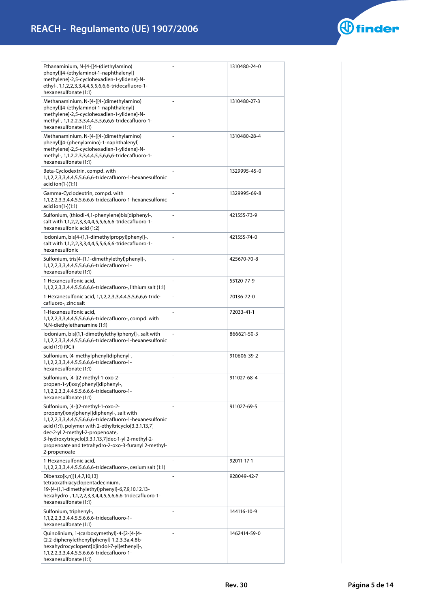

| Ethanaminium, N-[4-[[4-(diethylamino)<br>phenyl][4-(ethylamino)-1-naphthalenyl]<br>methylene]-2,5-cyclohexadien-1-ylidene]-N-<br>ethyl-, 1,1,2,2,3,3,4,4,5,5,6,6,6-tridecafluoro-1-<br>hexanesulfonate (1:1)                                                                                                                                                        |                          | 1310480-24-0 |
|---------------------------------------------------------------------------------------------------------------------------------------------------------------------------------------------------------------------------------------------------------------------------------------------------------------------------------------------------------------------|--------------------------|--------------|
| Methanaminium, N-[4-[[4-(dimethylamino)<br>phenyl][4-(ethylamino)-1-naphthalenyl]<br>methylene]-2,5-cyclohexadien-1-ylidene]-N-<br>methyl-, 1,1,2,2,3,3,4,4,5,5,6,6,6-tridecafluoro-1-<br>hexanesulfonate (1:1)                                                                                                                                                     |                          | 1310480-27-3 |
| Methanaminium, N-[4-[[4-(dimethylamino)<br>phenyl][4-(phenylamino)-1-naphthalenyl]<br>methylene]-2,5-cyclohexadien-1-ylidene]-N-<br>methyl-, 1,1,2,2,3,3,4,4,5,5,6,6,6-tridecafluoro-1-<br>hexanesulfonate (1:1)                                                                                                                                                    |                          | 1310480-28-4 |
| Beta-Cyclodextrin, compd. with<br>1,1,2,2,3,3,4,4,5,5,6,6,6-tridecafluoro-1-hexanesulfonic<br>acid ion(1-)(1:1)                                                                                                                                                                                                                                                     |                          | 1329995-45-0 |
| Gamma-Cyclodextrin, compd. with<br>1,1,2,2,3,3,4,4,5,5,6,6,6-tridecafluoro-1-hexanesulfonic<br>acid $ion(1-(1:1))$                                                                                                                                                                                                                                                  |                          | 1329995-69-8 |
| Sulfonium, (thiodi-4,1-phenylene)bis[diphenyl-,<br>salt with 1,1,2,2,3,3,4,4,5,5,6,6,6-tridecafluoro-1-<br>hexanesulfonic acid (1:2)                                                                                                                                                                                                                                | $\overline{\phantom{a}}$ | 421555-73-9  |
| lodonium, bis[4-(1,1-dimethylpropyl)phenyl]-,<br>salt with 1,1,2,2,3,3,4,4,5,5,6,6,6-tridecafluoro-1-<br>hexanesulfonic                                                                                                                                                                                                                                             | ÷,                       | 421555-74-0  |
| Sulfonium, tris[4-(1,1-dimethylethyl)phenyl]-,<br>1, 1, 2, 2, 3, 3, 4, 4, 5, 5, 6, 6, 6-tridecafluoro-1-<br>hexanesulfonate (1:1)                                                                                                                                                                                                                                   | $\blacksquare$           | 425670-70-8  |
| 1-Hexanesulfonic acid,<br>1,1,2,2,3,3,4,4,5,5,6,6,6-tridecafluoro-, lithium salt (1:1)                                                                                                                                                                                                                                                                              | $\overline{\phantom{a}}$ | 55120-77-9   |
| 1-Hexanesulfonic acid, 1,1,2,2,3,3,4,4,5,5,6,6,6-tride-<br>cafluoro-, zinc salt                                                                                                                                                                                                                                                                                     | $\blacksquare$           | 70136-72-0   |
| 1-Hexanesulfonic acid,<br>1,1,2,2,3,3,4,4,5,5,6,6,6-tridecafluoro-, compd. with<br>N,N-diethylethanamine (1:1)                                                                                                                                                                                                                                                      | ÷,                       | 72033-41-1   |
| lodonium, bis[(1,1-dimethylethyl)phenyl]-, salt with<br>1,1,2,2,3,3,4,4,5,5,6,6,6-tridecafluoro-1-hexanesulfonic<br>acid (1:1) (9CI)                                                                                                                                                                                                                                | Ξ                        | 866621-50-3  |
| Sulfonium, (4-methylphenyl)diphenyl-,<br>1,1,2,2,3,3,4,4,5,5,6,6,6-tridecafluoro-1-<br>hexanesulfonate (1:1)                                                                                                                                                                                                                                                        | $\blacksquare$           | 910606-39-2  |
| Sulfonium, [4-[(2-methyl-1-oxo-2-<br>propen-1-yl)oxy]phenyl]diphenyl-,<br>1, 1, 2, 2, 3, 3, 4, 4, 5, 5, 6, 6, 6-tridecafluoro-1-<br>hexanesulfonate (1:1)                                                                                                                                                                                                           | $\overline{\phantom{a}}$ | 911027-68-4  |
| Sulfonium, [4-[(2-methyl-1-oxo-2-<br>propenyl) oxy] phenyl] diphenyl-, salt with<br>1,1,2,2,3,3,4,4,5,5,6,6,6-tridecafluoro-1-hexanesulfonic<br>acid (1:1), polymer with 2-ethyltricyclo[3.3.1.13,7]<br>dec-2-yl 2-methyl-2-propenoate,<br>3-hydroxytricyclo[3.3.1.13,7]dec-1-yl 2-methyl-2-<br>propenoate and tetrahydro-2-oxo-3-furanyl 2-methyl-<br>2-propenoate |                          | 911027-69-5  |
| 1-Hexanesulfonic acid,<br>1,1,2,2,3,3,4,4,5,5,6,6,6-tridecafluoro-, cesium salt (1:1)                                                                                                                                                                                                                                                                               | $\overline{\phantom{a}}$ | 92011-17-1   |
| Dibenzo[k,n][1,4,7,10,13]<br>tetraoxathiacyclopentadecinium,<br>19-[4-(1,1-dimethylethyl)phenyl]-6,7,9,10,12,13-<br>hexahydro-, 1,1,2,2,3,3,4,4,5,5,6,6,6-tridecafluoro-1-<br>hexanesulfonate (1:1)                                                                                                                                                                 | ÷,                       | 928049-42-7  |
| Sulfonium, triphenyl-,<br>1, 1, 2, 2, 3, 3, 4, 4, 5, 5, 6, 6, 6-tridecafluoro-1-<br>hexanesulfonate (1:1)                                                                                                                                                                                                                                                           | $\overline{\phantom{m}}$ | 144116-10-9  |
| Quinolinium, 1-(carboxymethyl)-4-[2-[4-[4-<br>(2,2-diphenylethenyl)phenyl]-1,2,3,3a,4,8b-<br>hexahydrocyclopent[b]indol-7-yl]ethenyl]-,<br>1, 1, 2, 2, 3, 3, 4, 4, 5, 5, 6, 6, 6-tridecafluoro-1-<br>hexanesulfonate (1:1)                                                                                                                                          | ÷,                       | 1462414-59-0 |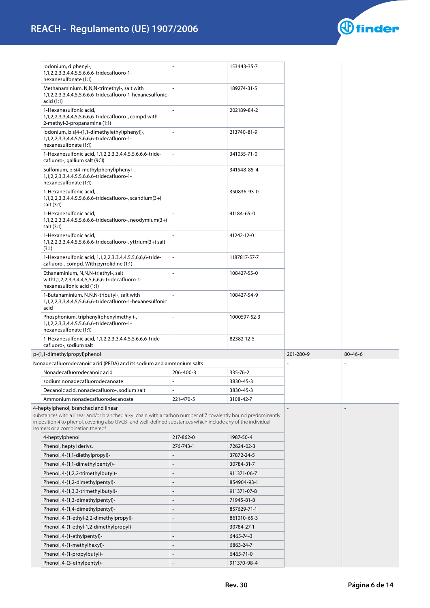# **REACH - Regulamento (UE) 1907/2006**



| lodonium, diphenyl-,<br>1, 1, 2, 2, 3, 3, 4, 4, 5, 5, 6, 6, 6-tridecafluoro-1-<br>hexanesulfonate (1:1)                                                                                                                                                                                                  |                | 153443-35-7  |           |               |
|----------------------------------------------------------------------------------------------------------------------------------------------------------------------------------------------------------------------------------------------------------------------------------------------------------|----------------|--------------|-----------|---------------|
| Methanaminium, N, N, N-trimethyl-, salt with<br>1,1,2,2,3,3,4,4,5,5,6,6,6-tridecafluoro-1-hexanesulfonic<br>acid (1:1)                                                                                                                                                                                   |                | 189274-31-5  |           |               |
| 1-Hexanesulfonic acid,<br>1,1,2,2,3,3,4,4,5,5,6,6,6-tridecafluoro-, compd.with<br>2-methyl-2-propanamine (1:1)                                                                                                                                                                                           |                | 202189-84-2  |           |               |
| lodonium, bis[4-(1,1-dimethylethyl)phenyl]-,<br>1, 1, 2, 2, 3, 3, 4, 4, 5, 5, 6, 6, 6-tridecafluoro-1-<br>hexanesulfonate (1:1)                                                                                                                                                                          | ÷.             | 213740-81-9  |           |               |
| 1-Hexanesulfonic acid, 1,1,2,2,3,3,4,4,5,5,6,6,6-tride-<br>cafluoro-, gallium salt (9CI)                                                                                                                                                                                                                 | ÷.             | 341035-71-0  |           |               |
| Sulfonium, bis(4-methylphenyl)phenyl-,<br>1, 1, 2, 2, 3, 3, 4, 4, 5, 5, 6, 6, 6-tridecafluoro-1-<br>hexanesulfonate (1:1)                                                                                                                                                                                | $\overline{a}$ | 341548-85-4  |           |               |
| 1-Hexanesulfonic acid,<br>1, 1, 2, 2, 3, 3, 4, 4, 5, 5, 6, 6, 6-tridecafluoro-, scandium (3+)<br>salt (3:1)                                                                                                                                                                                              |                | 350836-93-0  |           |               |
| 1-Hexanesulfonic acid,<br>1, 1, 2, 2, 3, 3, 4, 4, 5, 5, 6, 6, 6-tridecafluoro-, neodymium (3+)<br>salt (3:1)                                                                                                                                                                                             |                | 41184-65-0   |           |               |
| 1-Hexanesulfonic acid,<br>1, 1, 2, 2, 3, 3, 4, 4, 5, 5, 6, 6, 6-tridecafluoro-, yttrium (3+) salt<br>(3:1)                                                                                                                                                                                               |                | 41242-12-0   |           |               |
| 1-Hexanesulfonic acid, 1,1,2,2,3,3,4,4,5,5,6,6,6-tride-<br>cafluoro-, compd. With pyrrolidine (1:1)                                                                                                                                                                                                      |                | 1187817-57-7 |           |               |
| Ethanaminium, N, N, N-triethyl-, salt<br>with1,1,2,2,3,3,4,4,5,5,6,6,6-tridecafluoro-1-<br>hexanesulfonic acid (1:1)                                                                                                                                                                                     |                | 108427-55-0  |           |               |
| 1-Butanaminium, N,N,N-tributyl-, salt with<br>1,1,2,2,3,3,4,4,5,5,6,6,6-tridecafluoro-1-hexanesulfonic<br>acid                                                                                                                                                                                           |                | 108427-54-9  |           |               |
| Phosphonium, triphenyl(phenylmethyl)-,<br>1, 1, 2, 2, 3, 3, 4, 4, 5, 5, 6, 6, 6-tridecafluoro-1-<br>hexanesulfonate (1:1)                                                                                                                                                                                | $\overline{a}$ | 1000597-52-3 |           |               |
| 1-Hexanesulfonic acid, 1,1,2,2,3,3,4,4,5,5,6,6,6-tride-<br>cafluoro-, sodium salt                                                                                                                                                                                                                        |                | 82382-12-5   |           |               |
| p-(1,1-dimethylpropyl)phenol                                                                                                                                                                                                                                                                             |                |              | 201-280-9 | $80 - 46 - 6$ |
| Nonadecafluorodecanoic acid (PFDA) and its sodium and ammonium salts                                                                                                                                                                                                                                     |                |              |           |               |
| Nonadecafluorodecanoic acid                                                                                                                                                                                                                                                                              | 206-400-3      | 335-76-2     |           |               |
| sodium nonadecafluorodecanoate                                                                                                                                                                                                                                                                           |                | 3830-45-3    |           |               |
| Decanoic acid, nonadecafluoro-, sodium salt                                                                                                                                                                                                                                                              |                | 3830-45-3    |           |               |
| Ammonium nonadecafluorodecanoate                                                                                                                                                                                                                                                                         | 221-470-5      | 3108-42-7    |           |               |
| 4-heptylphenol, branched and linear<br>substances with a linear and/or branched alkyl chain with a carbon number of 7 covalently bound predominantly<br>in position 4 to phenol, covering also UVCB- and well-defined substances which include any of the individual<br>isomers or a combination thereof |                |              |           |               |
| 4-heptylphenol                                                                                                                                                                                                                                                                                           | 217-862-0      | 1987-50-4    |           |               |
| Phenol, heptyl derivs.                                                                                                                                                                                                                                                                                   | 276-743-1      | 72624-02-3   |           |               |
| Phenol, 4-(1,1-diethylpropyl)-                                                                                                                                                                                                                                                                           |                | 37872-24-5   |           |               |
| Phenol, 4-(1,1-dimethylpentyl)-                                                                                                                                                                                                                                                                          |                | 30784-31-7   |           |               |
| Phenol, 4-(1,2,2-trimethylbutyl)-                                                                                                                                                                                                                                                                        |                | 911371-06-7  |           |               |
| Phenol, 4-(1,2-dimethylpentyl)-                                                                                                                                                                                                                                                                          |                | 854904-93-1  |           |               |
| Phenol, 4-(1,3,3-trimethylbutyl)-                                                                                                                                                                                                                                                                        |                | 911371-07-8  |           |               |
| Phenol, 4-(1,3-dimethylpentyl)-                                                                                                                                                                                                                                                                          |                | 71945-81-8   |           |               |
| Phenol, 4-(1,4-dimethylpentyl)-                                                                                                                                                                                                                                                                          |                | 857629-71-1  |           |               |
| Phenol, 4-(1-ethyl-2,2-dimethylpropyl)-                                                                                                                                                                                                                                                                  |                | 861010-65-3  |           |               |
| Phenol, 4-(1-ethyl-1,2-dimethylpropyl)-                                                                                                                                                                                                                                                                  |                | 30784-27-1   |           |               |
| Phenol, 4-(1-ethylpentyl)-                                                                                                                                                                                                                                                                               |                | 6465-74-3    |           |               |
| Phenol, 4-(1-methylhexyl)-                                                                                                                                                                                                                                                                               |                | 6863-24-7    |           |               |
| Phenol, 4-(1-propylbutyl)-                                                                                                                                                                                                                                                                               |                | 6465-71-0    |           |               |
| Phenol, 4-(3-ethylpentyl)-                                                                                                                                                                                                                                                                               |                | 911370-98-4  |           |               |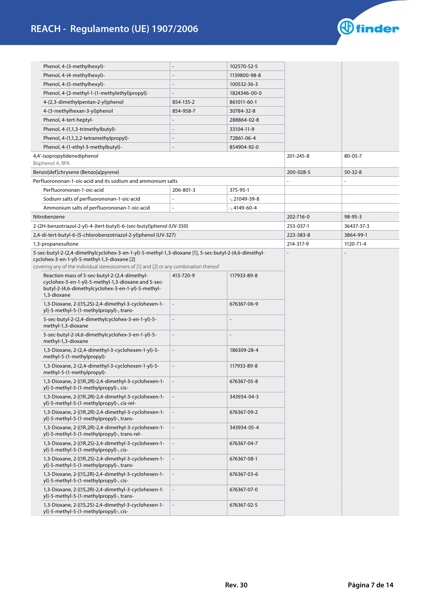

| Phenol, 4-(3-methylhexyl)-                                                                                                                                                                                                                      |                          | 102570-52-5   |           |               |
|-------------------------------------------------------------------------------------------------------------------------------------------------------------------------------------------------------------------------------------------------|--------------------------|---------------|-----------|---------------|
| Phenol, 4-(4-methylhexyl)-                                                                                                                                                                                                                      |                          | 1139800-98-8  |           |               |
| Phenol, 4-(5-methylhexyl)-                                                                                                                                                                                                                      |                          | 100532-36-3   |           |               |
| Phenol, 4-[2-methyl-1-(1-methylethyl)propyl]-                                                                                                                                                                                                   |                          | 1824346-00-0  |           |               |
| 4-(2,3-dimethylpentan-2-yl)phenol                                                                                                                                                                                                               | 854-135-2                | 861011-60-1   |           |               |
| 4-(3-methylhexan-3-yl)phenol                                                                                                                                                                                                                    | 854-958-7                | 30784-32-8    |           |               |
| Phenol, 4-tert-heptyl-                                                                                                                                                                                                                          |                          | 288864-02-8   |           |               |
| Phenol, 4-(1,1,3-trimethylbutyl)-                                                                                                                                                                                                               |                          | 33104-11-9    |           |               |
| Phenol, 4-(1,1,2,2-tetramethylpropyl)-                                                                                                                                                                                                          |                          | 72861-06-4    |           |               |
| Phenol, 4-(1-ethyl-3-methylbutyl)-                                                                                                                                                                                                              |                          | 854904-92-0   |           |               |
| 4,4'-isopropylidenediphenol<br>Bisphenol A; BPA                                                                                                                                                                                                 |                          |               | 201-245-8 | $80 - 05 - 7$ |
| Benzo[def]chrysene (Benzo[a]pyrene)                                                                                                                                                                                                             |                          |               | 200-028-5 | $50 - 32 - 8$ |
| Perfluorononan-1-oic-acid and its sodium and ammonium salts                                                                                                                                                                                     |                          |               |           |               |
| Perfluorononan-1-oic-acid                                                                                                                                                                                                                       | 206-801-3                | 375-95-1      |           |               |
| Sodium salts of perfluorononan-1-oic-acid                                                                                                                                                                                                       |                          | -, 21049-39-8 |           |               |
| Ammonium salts of perfluorononan-1-oic-acid                                                                                                                                                                                                     |                          | -, 4149-60-4  |           |               |
| Nitrobenzene                                                                                                                                                                                                                                    |                          |               | 202-716-0 | 98-95-3       |
| 2-(2H-benzotriazol-2-yl)-4-(tert-butyl)-6-(sec-butyl)phenol (UV-350)                                                                                                                                                                            |                          |               | 253-037-1 | 36437-37-3    |
| 2,4-di-tert-butyl-6-(5-chlorobenzotriazol-2-yl)phenol (UV-327)                                                                                                                                                                                  |                          |               | 223-383-8 | 3864-99-1     |
| 1,3-propanesultone                                                                                                                                                                                                                              |                          |               | 214-317-9 | 1120-71-4     |
| 5-sec-butyl-2-(2,4-dimethylcyclohex-3-en-1-yl)-5-methyl-1,3-dioxane [1], 5-sec-butyl-2-(4,6-dimethyl-<br>cyclohex-3-en-1-yl)-5-methyl-1,3-dioxane [2]<br>covering any of the individual stereoisomers of [1] and [2] or any combination thereof |                          |               |           |               |
| Reaction mass of 5-sec-butyl-2-(2,4-dimethyl-<br>cyclohex-3-en-1-yl)-5-methyl-1,3-dioxane and 5-sec-<br>butyl-2-(4,6-dimethylcyclohex-3-en-1-yl)-5-methyl-<br>1,3-dioxane                                                                       | 413-720-9                | 117933-89-8   |           |               |
| 1,3-Dioxane, 2-[(1S,2S)-2,4-dimethyl-3-cyclohexen-1-<br>yl]-5-methyl-5-(1-methylpropyl)-, trans-                                                                                                                                                |                          | 676367-06-9   |           |               |
| 5-sec-butyl-2-(2,4-dimethylcyclohex-3-en-1-yl)-5-<br>methyl-1,3-dioxane                                                                                                                                                                         | $\overline{\phantom{a}}$ |               |           |               |
| 5-sec-butyl-2-(4,6-dimethylcyclohex-3-en-1-yl)-5-<br>methyl-1,3-dioxane                                                                                                                                                                         |                          |               |           |               |
| 1,3-Dioxane, 2-(2,4-dimethyl-3-cyclohexen-1-yl)-5-<br>methyl-5-(1-methylpropyl)-                                                                                                                                                                | $\frac{1}{2}$            | 186309-28-4   |           |               |
| 1,3-Dioxane, 2-(2,4-dimethyl-3-cyclohexen-1-yl)-5-<br>methyl-5-(1-methylpropyl)-                                                                                                                                                                |                          | 117933-89-8   |           |               |
| 1,3-Dioxane, 2-[(1R,2R)-2,4-dimethyl-3-cyclohexen-1-<br>yl]-5-methyl-5-(1-methylpropyl)-, cis-                                                                                                                                                  |                          | 676367-05-8   |           |               |
| 1,3-Dioxane, 2-[(1R,2R)-2,4-dimethyl-3-cyclohexen-1-<br>yl]-5-methyl-5-(1-methylpropyl)-, cis-rel-                                                                                                                                              |                          | 343934-04-3   |           |               |
| 1,3-Dioxane, 2-[(1R,2R)-2,4-dimethyl-3-cyclohexen-1-<br>yl]-5-methyl-5-(1-methylpropyl)-, trans-                                                                                                                                                |                          | 676367-09-2   |           |               |
| 1,3-Dioxane, 2-[(1R,2R)-2,4-dimethyl-3-cyclohexen-1-<br>yl]-5-methyl-5-(1-methylpropyl)-, trans-rel-                                                                                                                                            | $\overline{\phantom{a}}$ | 343934-05-4   |           |               |
| 1,3-Dioxane, 2-[(1R,2S)-2,4-dimethyl-3-cyclohexen-1-<br>yl]-5-methyl-5-(1-methylpropyl)-, cis-                                                                                                                                                  |                          | 676367-04-7   |           |               |
| 1,3-Dioxane, 2-[(1R,2S)-2,4-dimethyl-3-cyclohexen-1-<br>yl]-5-methyl-5-(1-methylpropyl)-, trans-                                                                                                                                                | $\Box$                   | 676367-08-1   |           |               |
| 1,3-Dioxane, 2-[(1S,2R)-2,4-dimethyl-3-cyclohexen-1-<br>yl]-5-methyl-5-(1-methylpropyl)-, cis-                                                                                                                                                  |                          | 676367-03-6   |           |               |
| 1,3-Dioxane, 2-[(1S,2R)-2,4-dimethyl-3-cyclohexen-1-<br>yl]-5-methyl-5-(1-methylpropyl)-, trans-                                                                                                                                                |                          | 676367-07-0   |           |               |
| 1,3-Dioxane, 2-[(1S,2S)-2,4-dimethyl-3-cyclohexen-1-<br>yl]-5-methyl-5-(1-methylpropyl)-, cis-                                                                                                                                                  |                          | 676367-02-5   |           |               |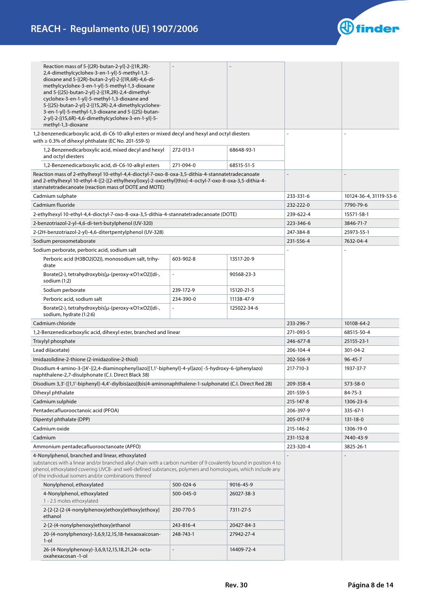

| Reaction mass of 5-[(2R)-butan-2-yl]-2-[(1R,2R)-<br>2,4-dimethylcyclohex-3-en-1-yl]-5-methyl-1,3-<br>dioxane and 5-[(2R)-butan-2-yl]-2-[(1R,6R)-4,6-di-<br>methylcyclohex-3-en-1-yl]-5-methyl-1,3-dioxane<br>and 5-[(2S)-butan-2-yl]-2-[(1R,2R)-2,4-dimethyl-<br>cyclohex-3-en-1-yl]-5-methyl-1,3-dioxane and<br>5-[(2S)-butan-2-yl]-2-[(1S,2R)-2,4-dimethylcyclohex-<br>3-en-1-yl]-5-methyl-1,3-dioxane and 5-[(2S)-butan-<br>2-yl]-2-[(1S,6R)-4,6-dimethylcyclohex-3-en-1-yl]-5-<br>methyl-1,3-dioxane |           |             |                |                        |
|----------------------------------------------------------------------------------------------------------------------------------------------------------------------------------------------------------------------------------------------------------------------------------------------------------------------------------------------------------------------------------------------------------------------------------------------------------------------------------------------------------|-----------|-------------|----------------|------------------------|
| 1,2-benzenedicarboxylic acid, di-C6-10-alkyl esters or mixed decyl and hexyl and octyl diesters                                                                                                                                                                                                                                                                                                                                                                                                          |           |             |                |                        |
| with $\geq$ 0.3% of dihexyl phthalate (EC No. 201-559-5)<br>1,2-Benzenedicarboxylic acid, mixed decyl and hexyl<br>and octyl diesters                                                                                                                                                                                                                                                                                                                                                                    | 272-013-1 | 68648-93-1  |                |                        |
| 1,2-Benzenedicarboxylic acid, di-C6-10-alkyl esters                                                                                                                                                                                                                                                                                                                                                                                                                                                      | 271-094-0 | 68515-51-5  |                |                        |
| Reaction mass of 2-ethylhexyl 10-ethyl-4,4-dioctyl-7-oxo-8-oxa-3,5-dithia-4-stannatetradecanoate                                                                                                                                                                                                                                                                                                                                                                                                         |           |             | $\overline{a}$ |                        |
| and 2-ethylhexyl 10-ethyl-4-[[2-[(2-ethylhexyl)oxy]-2-oxoethyl]thio]-4-octyl-7-oxo-8-oxa-3,5-dithia-4-<br>stannatetradecanoate (reaction mass of DOTE and MOTE)                                                                                                                                                                                                                                                                                                                                          |           |             |                |                        |
| Cadmium sulphate                                                                                                                                                                                                                                                                                                                                                                                                                                                                                         |           |             | 233-331-6      | 10124-36-4, 31119-53-6 |
| Cadmium fluoride                                                                                                                                                                                                                                                                                                                                                                                                                                                                                         |           |             | 232-222-0      | 7790-79-6              |
| 2-ethylhexyl 10-ethyl-4,4-dioctyl-7-oxo-8-oxa-3,5-dithia-4-stannatetradecanoate (DOTE)                                                                                                                                                                                                                                                                                                                                                                                                                   |           |             | 239-622-4      | 15571-58-1             |
| 2-benzotriazol-2-yl-4,6-di-tert-butylphenol (UV-320)                                                                                                                                                                                                                                                                                                                                                                                                                                                     |           |             | 223-346-6      | 3846-71-7              |
| 2-(2H-benzotriazol-2-yl)-4,6-ditertpentylphenol (UV-328)                                                                                                                                                                                                                                                                                                                                                                                                                                                 |           |             | 247-384-8      | 25973-55-1             |
| Sodium peroxometaborate                                                                                                                                                                                                                                                                                                                                                                                                                                                                                  |           |             | 231-556-4      | 7632-04-4              |
| Sodium perborate, perboric acid, sodium salt                                                                                                                                                                                                                                                                                                                                                                                                                                                             |           |             |                |                        |
| Perboric acid (H3BO2(O2)), monosodium salt, trihy-<br>drate                                                                                                                                                                                                                                                                                                                                                                                                                                              | 603-902-8 | 13517-20-9  |                |                        |
| Borate(2-), tetrahydroxybis[µ-(peroxy-kO1:kO2)]di-,<br>sodium (1:2)                                                                                                                                                                                                                                                                                                                                                                                                                                      |           | 90568-23-3  |                |                        |
| Sodium perborate                                                                                                                                                                                                                                                                                                                                                                                                                                                                                         | 239-172-9 | 15120-21-5  |                |                        |
| Perboric acid, sodium salt                                                                                                                                                                                                                                                                                                                                                                                                                                                                               | 234-390-0 | 11138-47-9  |                |                        |
| Borate(2-), tetrahydroxybis[µ-(peroxy-KO1:KO2)]di-,<br>sodium, hydrate (1:2:6)                                                                                                                                                                                                                                                                                                                                                                                                                           |           | 125022-34-6 |                |                        |
| Cadmium chloride                                                                                                                                                                                                                                                                                                                                                                                                                                                                                         |           |             | 233-296-7      | 10108-64-2             |
| 1,2-Benzenedicarboxylic acid, dihexyl ester, branched and linear                                                                                                                                                                                                                                                                                                                                                                                                                                         |           |             | 271-093-5      | 68515-50-4             |
| Trixylyl phosphate                                                                                                                                                                                                                                                                                                                                                                                                                                                                                       |           |             | 246-677-8      | 25155-23-1             |
| Lead di(acetate)                                                                                                                                                                                                                                                                                                                                                                                                                                                                                         |           |             | 206-104-4      | 301-04-2               |
| Imidazolidine-2-thione (2-imidazoline-2-thiol)                                                                                                                                                                                                                                                                                                                                                                                                                                                           |           |             | 202-506-9      | $96 - 45 - 7$          |
| Disodium 4-amino-3-[[4'-[(2,4-diaminophenyl)azo][1,1'-biphenyl]-4-yl]azo] -5-hydroxy-6-(phenylazo)<br>naphthalene-2,7-disulphonate (C.I. Direct Black 38)                                                                                                                                                                                                                                                                                                                                                |           |             | 217-710-3      | 1937-37-7              |
| Disodium 3,3'-[[1,1'-biphenyl]-4,4'-diylbis(azo)]bis(4-aminonaphthalene-1-sulphonate) (C.I. Direct Red 28)                                                                                                                                                                                                                                                                                                                                                                                               |           |             | 209-358-4      | 573-58-0               |
| Dihexyl phthalate                                                                                                                                                                                                                                                                                                                                                                                                                                                                                        |           |             | 201-559-5      | 84-75-3                |
| Cadmium sulphide                                                                                                                                                                                                                                                                                                                                                                                                                                                                                         |           |             | 215-147-8      | 1306-23-6              |
| Pentadecafluorooctanoic acid (PFOA)                                                                                                                                                                                                                                                                                                                                                                                                                                                                      |           |             | 206-397-9      | 335-67-1               |
| Dipentyl phthalate (DPP)                                                                                                                                                                                                                                                                                                                                                                                                                                                                                 |           |             | 205-017-9      | 131-18-0               |
| Cadmium oxide                                                                                                                                                                                                                                                                                                                                                                                                                                                                                            |           |             | 215-146-2      | 1306-19-0              |
| Cadmium                                                                                                                                                                                                                                                                                                                                                                                                                                                                                                  |           |             | 231-152-8      | 7440-43-9              |
| Ammonium pentadecafluorooctanoate (APFO)                                                                                                                                                                                                                                                                                                                                                                                                                                                                 |           |             | 223-320-4      | 3825-26-1              |
| 4-Nonylphenol, branched and linear, ethoxylated<br>substances with a linear and/or branched alkyl chain with a carbon number of 9 covalently bound in position 4 to<br>phenol, ethoxylated covering UVCB- and well-defined substances, polymers and homologues, which include any<br>of the individual isomers and/or combinations thereof                                                                                                                                                               |           |             |                |                        |
| Nonylphenol, ethoxylated                                                                                                                                                                                                                                                                                                                                                                                                                                                                                 | 500-024-6 | 9016-45-9   |                |                        |
| 4-Nonylphenol, ethoxylated<br>1 - 2.5 moles ethoxylated                                                                                                                                                                                                                                                                                                                                                                                                                                                  | 500-045-0 | 26027-38-3  |                |                        |
| 2-[2-[2-[2-(4-nonylphenoxy)ethoxy]ethoxy]ethoxy]<br>ethanol                                                                                                                                                                                                                                                                                                                                                                                                                                              | 230-770-5 | 7311-27-5   |                |                        |
| 2-[2-(4-nonylphenoxy)ethoxy]ethanol                                                                                                                                                                                                                                                                                                                                                                                                                                                                      | 243-816-4 | 20427-84-3  |                |                        |
| 20-(4-nonylphenoxy)-3,6,9,12,15,18-hexaoxaicosan-<br>$1$ -ol                                                                                                                                                                                                                                                                                                                                                                                                                                             | 248-743-1 | 27942-27-4  |                |                        |
| 26-(4-Nonylphenoxy)-3,6,9,12,15,18,21,24- octa-<br>oxahexacosan -1-ol                                                                                                                                                                                                                                                                                                                                                                                                                                    |           | 14409-72-4  |                |                        |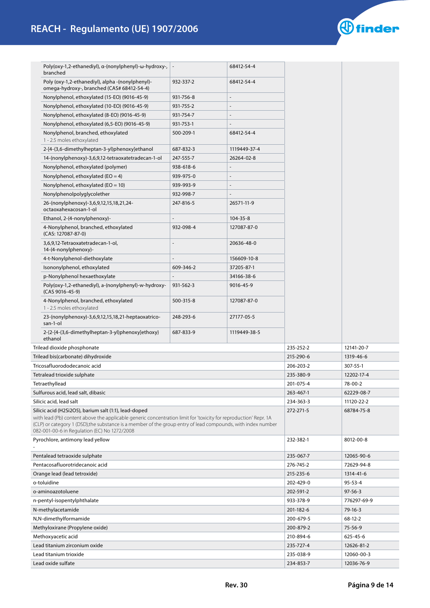

| Poly(oxy-1,2-ethanediyl), α-(nonylphenyl)-ω-hydroxy-,<br>branched                                                                                                                                                                                                                                                                         |           | 68412-54-4               |           |               |
|-------------------------------------------------------------------------------------------------------------------------------------------------------------------------------------------------------------------------------------------------------------------------------------------------------------------------------------------|-----------|--------------------------|-----------|---------------|
| Poly (oxy-1,2-ethanediyl), alpha - (nonylphenyl)-<br>omega-hydroxy-, branched (CAS# 68412-54-4)                                                                                                                                                                                                                                           | 932-337-2 | 68412-54-4               |           |               |
| Nonylphenol, ethoxylated (15-EO) (9016-45-9)                                                                                                                                                                                                                                                                                              | 931-756-8 | $\overline{a}$           |           |               |
| Nonylphenol, ethoxylated (10-EO) (9016-45-9)                                                                                                                                                                                                                                                                                              | 931-755-2 | $\overline{\phantom{0}}$ |           |               |
| Nonylphenol, ethoxylated (8-EO) (9016-45-9)                                                                                                                                                                                                                                                                                               | 931-754-7 |                          |           |               |
| Nonylphenol, ethoxylated (6,5-EO) (9016-45-9)                                                                                                                                                                                                                                                                                             | 931-753-1 |                          |           |               |
| Nonylphenol, branched, ethoxylated<br>1 - 2.5 moles ethoxylated                                                                                                                                                                                                                                                                           | 500-209-1 | 68412-54-4               |           |               |
| 2-[4-(3,6-dimethylheptan-3-yl)phenoxy]ethanol                                                                                                                                                                                                                                                                                             | 687-832-3 | 1119449-37-4             |           |               |
| 14-(nonylphenoxy)-3,6,9,12-tetraoxatetradecan-1-ol                                                                                                                                                                                                                                                                                        | 247-555-7 | 26264-02-8               |           |               |
| Nonylphenol, ethoxylated (polymer)                                                                                                                                                                                                                                                                                                        | 938-618-6 |                          |           |               |
| Nonylphenol, ethoxylated ( $EO = 4$ )                                                                                                                                                                                                                                                                                                     | 939-975-0 |                          |           |               |
| Nonylphenol, ethoxylated ( $EO = 10$ )                                                                                                                                                                                                                                                                                                    | 939-993-9 |                          |           |               |
| Nonylphenolpolyglycolether                                                                                                                                                                                                                                                                                                                | 932-998-7 |                          |           |               |
| 26-(nonylphenoxy)-3,6,9,12,15,18,21,24-<br>octaoxahexacosan-1-ol                                                                                                                                                                                                                                                                          | 247-816-5 | 26571-11-9               |           |               |
| Ethanol, 2-(4-nonylphenoxy)-                                                                                                                                                                                                                                                                                                              |           | 104-35-8                 |           |               |
| 4-Nonylphenol, branched, ethoxylated<br>(CAS: 127087-87-0)                                                                                                                                                                                                                                                                                | 932-098-4 | 127087-87-0              |           |               |
| 3,6,9,12-Tetraoxatetradecan-1-ol,<br>14-(4-nonylphenoxy)-                                                                                                                                                                                                                                                                                 |           | 20636-48-0               |           |               |
| 4-t-Nonylphenol-diethoxylate                                                                                                                                                                                                                                                                                                              |           | 156609-10-8              |           |               |
| Isononylphenol, ethoxylated                                                                                                                                                                                                                                                                                                               | 609-346-2 | 37205-87-1               |           |               |
| p-Nonylphenol hexaethoxylate                                                                                                                                                                                                                                                                                                              |           | 34166-38-6               |           |               |
| Poly(oxy-1,2-ethanediyl), a-(nonylphenyl)-w-hydroxy-<br>(CAS 9016-45-9)                                                                                                                                                                                                                                                                   | 931-562-3 | 9016-45-9                |           |               |
| 4-Nonylphenol, branched, ethoxylated<br>1 - 2.5 moles ethoxylated                                                                                                                                                                                                                                                                         | 500-315-8 | 127087-87-0              |           |               |
| 23-(nonylphenoxy)-3,6,9,12,15,18,21-heptaoxatrico-<br>san-1-ol                                                                                                                                                                                                                                                                            | 248-293-6 | 27177-05-5               |           |               |
| 2-{2-[4-(3,6-dimethylheptan-3-yl)phenoxy]ethoxy}                                                                                                                                                                                                                                                                                          | 687-833-9 | 1119449-38-5             |           |               |
| ethanol<br>Trilead dioxide phosphonate                                                                                                                                                                                                                                                                                                    |           |                          | 235-252-2 | 12141-20-7    |
| Trilead bis(carbonate) dihydroxide                                                                                                                                                                                                                                                                                                        |           |                          | 215-290-6 | 1319-46-6     |
| Tricosafluorododecanoic acid                                                                                                                                                                                                                                                                                                              |           |                          | 206-203-2 | 307-55-1      |
| Tetralead trioxide sulphate                                                                                                                                                                                                                                                                                                               |           |                          | 235-380-9 | 12202-17-4    |
| Tetraethyllead                                                                                                                                                                                                                                                                                                                            |           |                          | 201-075-4 | 78-00-2       |
| Sulfurous acid, lead salt, dibasic                                                                                                                                                                                                                                                                                                        |           |                          | 263-467-1 | 62229-08-7    |
| Silicic acid, lead salt                                                                                                                                                                                                                                                                                                                   |           |                          | 234-363-3 | 11120-22-2    |
| Silicic acid (H2Si2O5), barium salt (1:1), lead-doped<br>with lead (Pb) content above the applicable generic concentration limit for 'toxicity for reproduction' Repr. 1A<br>(CLP) or category 1 (DSD), the substance is a member of the group entry of lead compounds, with index number<br>082-001-00-6 in Regulation (EC) No 1272/2008 |           |                          | 272-271-5 | 68784-75-8    |
| Pyrochlore, antimony lead yellow                                                                                                                                                                                                                                                                                                          |           |                          | 232-382-1 | 8012-00-8     |
| Pentalead tetraoxide sulphate                                                                                                                                                                                                                                                                                                             |           |                          | 235-067-7 | 12065-90-6    |
| Pentacosafluorotridecanoic acid                                                                                                                                                                                                                                                                                                           |           |                          | 276-745-2 | 72629-94-8    |
| Orange lead (lead tetroxide)                                                                                                                                                                                                                                                                                                              |           |                          | 215-235-6 | 1314-41-6     |
| o-toluidine                                                                                                                                                                                                                                                                                                                               |           |                          | 202-429-0 | $95 - 53 - 4$ |
| o-aminoazotoluene                                                                                                                                                                                                                                                                                                                         |           |                          | 202-591-2 | $97 - 56 - 3$ |
| n-pentyl-isopentylphthalate                                                                                                                                                                                                                                                                                                               |           |                          | 933-378-9 | 776297-69-9   |
| N-methylacetamide                                                                                                                                                                                                                                                                                                                         |           |                          | 201-182-6 | 79-16-3       |
| N,N-dimethylformamide                                                                                                                                                                                                                                                                                                                     |           |                          | 200-679-5 | 68-12-2       |
| Methyloxirane (Propylene oxide)                                                                                                                                                                                                                                                                                                           |           |                          | 200-879-2 | 75-56-9       |
| Methoxyacetic acid                                                                                                                                                                                                                                                                                                                        |           |                          | 210-894-6 | 625-45-6      |
| Lead titanium zirconium oxide                                                                                                                                                                                                                                                                                                             |           |                          | 235-727-4 | 12626-81-2    |
| Lead titanium trioxide                                                                                                                                                                                                                                                                                                                    |           |                          | 235-038-9 | 12060-00-3    |
| Lead oxide sulfate                                                                                                                                                                                                                                                                                                                        |           |                          | 234-853-7 | 12036-76-9    |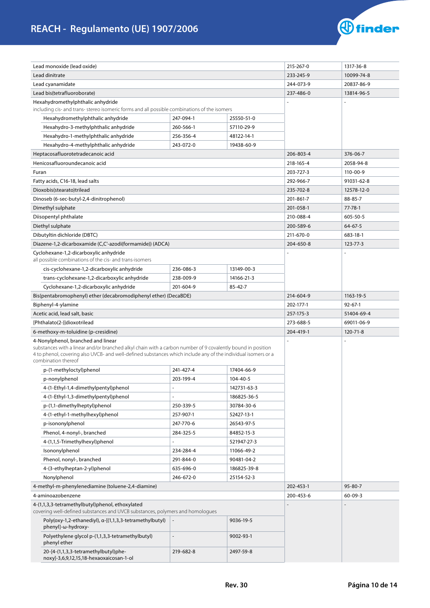

| Lead monoxide (lead oxide)                                                                                                                                                                                                                          |                         |             | 215-267-0 | 1317-36-8      |
|-----------------------------------------------------------------------------------------------------------------------------------------------------------------------------------------------------------------------------------------------------|-------------------------|-------------|-----------|----------------|
| Lead dinitrate                                                                                                                                                                                                                                      |                         |             | 233-245-9 | 10099-74-8     |
| Lead cyanamidate                                                                                                                                                                                                                                    |                         |             | 244-073-9 | 20837-86-9     |
| Lead bis(tetrafluoroborate)                                                                                                                                                                                                                         |                         |             | 237-486-0 | 13814-96-5     |
| Hexahydromethylphthalic anhydride                                                                                                                                                                                                                   |                         |             |           |                |
| including cis- and trans-stereo isomeric forms and all possible combinations of the isomers                                                                                                                                                         |                         |             |           |                |
| Hexahydromethylphthalic anhydride                                                                                                                                                                                                                   | 247-094-1               | 25550-51-0  |           |                |
| Hexahydro-3-methylphthalic anhydride                                                                                                                                                                                                                | 260-566-1               | 57110-29-9  |           |                |
| Hexahydro-1-methylphthalic anhydride                                                                                                                                                                                                                | 256-356-4               | 48122-14-1  |           |                |
| Hexahydro-4-methylphthalic anhydride                                                                                                                                                                                                                | 243-072-0               | 19438-60-9  |           |                |
| Heptacosafluorotetradecanoic acid                                                                                                                                                                                                                   | 206-803-4               | 376-06-7    |           |                |
| Henicosafluoroundecanoic acid                                                                                                                                                                                                                       |                         |             | 218-165-4 | 2058-94-8      |
| Furan                                                                                                                                                                                                                                               |                         |             | 203-727-3 | 110-00-9       |
| Fatty acids, C16-18, lead salts                                                                                                                                                                                                                     |                         |             | 292-966-7 | 91031-62-8     |
| Dioxobis(stearato)trilead                                                                                                                                                                                                                           |                         |             | 235-702-8 | 12578-12-0     |
| Dinoseb (6-sec-butyl-2,4-dinitrophenol)                                                                                                                                                                                                             |                         |             | 201-861-7 | 88-85-7        |
| Dimethyl sulphate                                                                                                                                                                                                                                   |                         |             | 201-058-1 | 77-78-1        |
| Diisopentyl phthalate                                                                                                                                                                                                                               |                         |             | 210-088-4 | 605-50-5       |
| Diethyl sulphate                                                                                                                                                                                                                                    |                         |             | 200-589-6 | $64 - 67 - 5$  |
| Dibutyltin dichloride (DBTC)                                                                                                                                                                                                                        |                         |             | 211-670-0 | 683-18-1       |
| Diazene-1,2-dicarboxamide (C,C'-azodi(formamide)) (ADCA)                                                                                                                                                                                            |                         |             | 204-650-8 | 123-77-3       |
| Cyclohexane-1,2-dicarboxylic anhydride<br>all possible combinations of the cis- and trans-isomers                                                                                                                                                   |                         |             |           |                |
| cis-cyclohexane-1,2-dicarboxylic anhydride                                                                                                                                                                                                          | 236-086-3               | 13149-00-3  |           |                |
| trans-cyclohexane-1,2-dicarboxylic anhydride                                                                                                                                                                                                        | 238-009-9<br>14166-21-3 |             |           |                |
| Cyclohexane-1,2-dicarboxylic anhydride                                                                                                                                                                                                              | 201-604-9               | 85-42-7     |           |                |
| Bis(pentabromophenyl) ether (decabromodiphenyl ether) (DecaBDE)                                                                                                                                                                                     |                         |             | 214-604-9 | 1163-19-5      |
| Biphenyl-4-ylamine                                                                                                                                                                                                                                  |                         |             | 202-177-1 | $92 - 67 - 1$  |
| Acetic acid, lead salt, basic                                                                                                                                                                                                                       |                         |             | 257-175-3 | 51404-69-4     |
| [Phthalato(2-)]dioxotrilead                                                                                                                                                                                                                         |                         |             | 273-688-5 | 69011-06-9     |
| 6-methoxy-m-toluidine (p-cresidine)                                                                                                                                                                                                                 |                         |             | 204-419-1 | $120 - 71 - 8$ |
| 4-Nonylphenol, branched and linear                                                                                                                                                                                                                  |                         |             |           |                |
| substances with a linear and/or branched alkyl chain with a carbon number of 9 covalently bound in position<br>4 to phenol, covering also UVCB- and well-defined substances which include any of the individual isomers or a<br>combination thereof |                         |             |           |                |
| p-(1-methyloctyl)phenol                                                                                                                                                                                                                             | 241-427-4               | 17404-66-9  |           |                |
| p-nonylphenol                                                                                                                                                                                                                                       | 203-199-4               | 104-40-5    |           |                |
| 4-(1-Ethyl-1,4-dimethylpentyl)phenol                                                                                                                                                                                                                | -                       | 142731-63-3 |           |                |
| 4-(1-Ethyl-1,3-dimethylpentyl)phenol                                                                                                                                                                                                                |                         | 186825-36-5 |           |                |
| p-(1,1-dimethylheptyl)phenol                                                                                                                                                                                                                        | 250-339-5               | 30784-30-6  |           |                |
| 4-(1-ethyl-1-methylhexyl)phenol                                                                                                                                                                                                                     | 257-907-1               | 52427-13-1  |           |                |
| p-isononylphenol                                                                                                                                                                                                                                    | 247-770-6               | 26543-97-5  |           |                |
| Phenol, 4-nonyl-, branched                                                                                                                                                                                                                          | 284-325-5               | 84852-15-3  |           |                |
| 4-(1,1,5-Trimethylhexyl)phenol                                                                                                                                                                                                                      |                         | 521947-27-3 |           |                |
| Isononylphenol                                                                                                                                                                                                                                      | 234-284-4               | 11066-49-2  |           |                |
| Phenol, nonyl-, branched                                                                                                                                                                                                                            | 291-844-0               | 90481-04-2  |           |                |
| 4-(3-ethylheptan-2-yl)phenol                                                                                                                                                                                                                        | 635-696-0               | 186825-39-8 |           |                |
| Nonylphenol                                                                                                                                                                                                                                         | 246-672-0               | 25154-52-3  |           |                |
| 4-methyl-m-phenylenediamine (toluene-2,4-diamine)                                                                                                                                                                                                   |                         |             | 202-453-1 | $95 - 80 - 7$  |
| 4-aminoazobenzene                                                                                                                                                                                                                                   |                         |             | 200-453-6 | $60 - 09 - 3$  |
| 4-(1,1,3,3-tetramethylbutyl)phenol, ethoxylated<br>covering well-defined substances and UVCB substances, polymers and homologues                                                                                                                    |                         |             |           |                |
| Poly(oxy-1,2-ethanediyl), a-[(1,1,3,3-tetramethylbutyl)<br>phenyl]-w-hydroxy-                                                                                                                                                                       |                         | 9036-19-5   |           |                |
| Polyethylene glycol p-(1,1,3,3-tetramethylbutyl)<br>phenyl ether                                                                                                                                                                                    | $\overline{a}$          | 9002-93-1   |           |                |
| 20-[4-(1,1,3,3-tetramethylbutyl)phe-<br>noxy]-3,6,9,12,15,18-hexaoxaicosan-1-ol                                                                                                                                                                     | 219-682-8               | 2497-59-8   |           |                |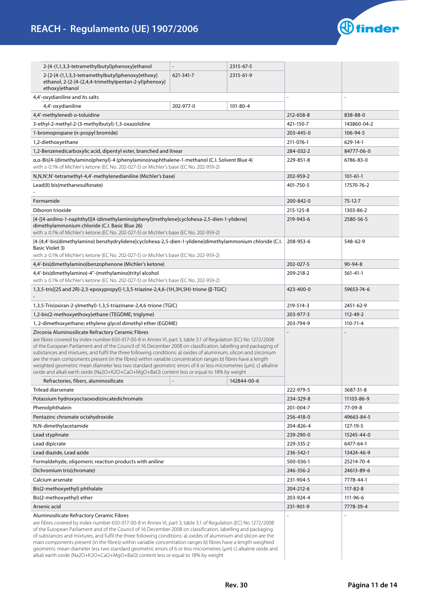

| 2-[4-(1,1,3,3-tetramethylbutyl)phenoxy]ethanol                                                                                                                                                                                                                                                                                                                                                                                                                                                                                                                                                                                                                                                                                                                                                       |           | 2315-67-5 |           |                |
|------------------------------------------------------------------------------------------------------------------------------------------------------------------------------------------------------------------------------------------------------------------------------------------------------------------------------------------------------------------------------------------------------------------------------------------------------------------------------------------------------------------------------------------------------------------------------------------------------------------------------------------------------------------------------------------------------------------------------------------------------------------------------------------------------|-----------|-----------|-----------|----------------|
| 2-[2-[4-(1,1,3,3-tetramethylbutyl)phenoxy]ethoxy]<br>ethanol, 2-{2-[4-(2,4,4-trimethylpentan-2-yl)phenoxy]                                                                                                                                                                                                                                                                                                                                                                                                                                                                                                                                                                                                                                                                                           | 621-341-7 | 2315-61-9 |           |                |
| ethoxy}ethanol                                                                                                                                                                                                                                                                                                                                                                                                                                                                                                                                                                                                                                                                                                                                                                                       |           |           |           |                |
| 4,4'-oxydianiline and its salts                                                                                                                                                                                                                                                                                                                                                                                                                                                                                                                                                                                                                                                                                                                                                                      |           |           | ä,        |                |
| 4,4'-oxydianiline                                                                                                                                                                                                                                                                                                                                                                                                                                                                                                                                                                                                                                                                                                                                                                                    | 202-977-0 | 101-80-4  |           |                |
| 4,4'-methylenedi-o-toluidine                                                                                                                                                                                                                                                                                                                                                                                                                                                                                                                                                                                                                                                                                                                                                                         |           |           | 212-658-8 | 838-88-0       |
| 3-ethyl-2-methyl-2-(3-methylbutyl)-1,3-oxazolidine                                                                                                                                                                                                                                                                                                                                                                                                                                                                                                                                                                                                                                                                                                                                                   |           |           | 421-150-7 | 143860-04-2    |
| 1-bromopropane (n-propyl bromide)                                                                                                                                                                                                                                                                                                                                                                                                                                                                                                                                                                                                                                                                                                                                                                    |           |           | 203-445-0 | 106-94-5       |
| 1,2-diethoxyethane                                                                                                                                                                                                                                                                                                                                                                                                                                                                                                                                                                                                                                                                                                                                                                                   |           |           | 211-076-1 | 629-14-1       |
| 1,2-Benzenedicarboxylic acid, dipentyl ester, branched and linear                                                                                                                                                                                                                                                                                                                                                                                                                                                                                                                                                                                                                                                                                                                                    |           |           | 284-032-2 | 84777-06-0     |
| α,α-Bis[4-(dimethylamino)phenyl]-4 (phenylamino)naphthalene-1-methanol (C.I. Solvent Blue 4)<br>with $\geq$ 0.1% of Michler's ketone (EC No. 202-027-5) or Michler's base (EC No. 202-959-2)                                                                                                                                                                                                                                                                                                                                                                                                                                                                                                                                                                                                         |           |           | 229-851-8 | 6786-83-0      |
| N,N,N',N'-tetramethyl-4,4'-methylenedianiline (Michler's base)                                                                                                                                                                                                                                                                                                                                                                                                                                                                                                                                                                                                                                                                                                                                       |           |           | 202-959-2 | $101 - 61 - 1$ |
| Lead(II) bis(methanesulfonate)                                                                                                                                                                                                                                                                                                                                                                                                                                                                                                                                                                                                                                                                                                                                                                       |           |           | 401-750-5 | 17570-76-2     |
| Formamide                                                                                                                                                                                                                                                                                                                                                                                                                                                                                                                                                                                                                                                                                                                                                                                            |           |           | 200-842-0 | $75-12-7$      |
| Diboron trioxide                                                                                                                                                                                                                                                                                                                                                                                                                                                                                                                                                                                                                                                                                                                                                                                     |           |           | 215-125-8 | 1303-86-2      |
| [4-[[4-anilino-1-naphthyl][4-(dimethylamino)phenyl]methylene]cyclohexa-2,5-dien-1-ylidene]<br>dimethylammonium chloride (C.I. Basic Blue 26)<br>with $\geq$ 0.1% of Michler's ketone (EC No. 202-027-5) or Michler's base (EC No. 202-959-2)                                                                                                                                                                                                                                                                                                                                                                                                                                                                                                                                                         |           |           | 219-943-6 | 2580-56-5      |
| [4-[4,4'-bis(dimethylamino) benzhydrylidene]cyclohexa-2,5-dien-1-ylidene]dimethylammonium chloride (C.I.<br><b>Basic Violet 3)</b><br>with $\geq$ 0.1% of Michler's ketone (EC No. 202-027-5) or Michler's base (EC No. 202-959-2)                                                                                                                                                                                                                                                                                                                                                                                                                                                                                                                                                                   |           |           | 208-953-6 | 548-62-9       |
| 4,4'-bis(dimethylamino)benzophenone (Michler's ketone)                                                                                                                                                                                                                                                                                                                                                                                                                                                                                                                                                                                                                                                                                                                                               |           |           | 202-027-5 | $90 - 94 - 8$  |
| 4,4'-bis(dimethylamino)-4"-(methylamino)trityl alcohol<br>with $\geq$ 0.1% of Michler's ketone (EC No. 202-027-5) or Michler's base (EC No. 202-959-2)                                                                                                                                                                                                                                                                                                                                                                                                                                                                                                                                                                                                                                               |           |           | 209-218-2 | 561-41-1       |
| 1,3,5-tris[(2S and 2R)-2,3-epoxypropyl]-1,3,5-triazine-2,4,6-(1H,3H,5H)-trione (β-TGIC)                                                                                                                                                                                                                                                                                                                                                                                                                                                                                                                                                                                                                                                                                                              |           |           | 423-400-0 | 59653-74-6     |
| 1,3,5-Tris(oxiran-2-ylmethyl)-1,3,5-triazinane-2,4,6-trione (TGIC)                                                                                                                                                                                                                                                                                                                                                                                                                                                                                                                                                                                                                                                                                                                                   |           |           | 219-514-3 | 2451-62-9      |
| 1,2-bis(2-methoxyethoxy)ethane (TEGDME; triglyme)                                                                                                                                                                                                                                                                                                                                                                                                                                                                                                                                                                                                                                                                                                                                                    |           |           | 203-977-3 | 112-49-2       |
| 1, 2-dimethoxyethane; ethylene glycol dimethyl ether (EGDME)                                                                                                                                                                                                                                                                                                                                                                                                                                                                                                                                                                                                                                                                                                                                         |           |           | 203-794-9 | $110 - 71 - 4$ |
| Zirconia Aluminosilicate Refractory Ceramic Fibres<br>are fibres covered by index number 650-017-00-8 in Annex VI, part 3, table 3.1 of Regulation (EC) No 1272/2008<br>of the European Parliament and of the Council of 16 December 2008 on classification, labelling and packaging of<br>substances and mixtures, and fulfil the three following conditions: a) oxides of aluminium, silicon and zirconium<br>are the main components present (in the fibres) within variable concentration ranges b) fibres have a length<br>weighted geometric mean diameter less two standard geometric errors of 6 or less micrometres (µm). c) alkaline<br>oxide and alkali earth oxide (Na2O+K2O+CaO+MgO+BaO) content less or equal to 18% by weight<br>Refractories, fibers, aluminosilicate<br>142844-00-6 |           |           |           |                |
| <b>Trilead diarsenate</b>                                                                                                                                                                                                                                                                                                                                                                                                                                                                                                                                                                                                                                                                                                                                                                            |           |           | 222-979-5 | 3687-31-8      |
| Potassium hydroxyoctaoxodizincatedichromate                                                                                                                                                                                                                                                                                                                                                                                                                                                                                                                                                                                                                                                                                                                                                          |           |           | 234-329-8 | 11103-86-9     |
| Phenolphthalein                                                                                                                                                                                                                                                                                                                                                                                                                                                                                                                                                                                                                                                                                                                                                                                      |           |           | 201-004-7 | 77-09-8        |
| Pentazinc chromate octahydroxide                                                                                                                                                                                                                                                                                                                                                                                                                                                                                                                                                                                                                                                                                                                                                                     |           |           | 256-418-0 | 49663-84-5     |
| N,N-dimethylacetamide                                                                                                                                                                                                                                                                                                                                                                                                                                                                                                                                                                                                                                                                                                                                                                                |           |           | 204-826-4 | 127-19-5       |
| Lead styphnate                                                                                                                                                                                                                                                                                                                                                                                                                                                                                                                                                                                                                                                                                                                                                                                       |           |           | 239-290-0 | 15245-44-0     |
| Lead dipicrate                                                                                                                                                                                                                                                                                                                                                                                                                                                                                                                                                                                                                                                                                                                                                                                       |           |           | 229-335-2 | 6477-64-1      |
| Lead diazide, Lead azide                                                                                                                                                                                                                                                                                                                                                                                                                                                                                                                                                                                                                                                                                                                                                                             |           |           | 236-542-1 | 13424-46-9     |
| Formaldehyde, oligomeric reaction products with aniline                                                                                                                                                                                                                                                                                                                                                                                                                                                                                                                                                                                                                                                                                                                                              |           |           | 500-036-1 | 25214-70-4     |
| Dichromium tris(chromate)                                                                                                                                                                                                                                                                                                                                                                                                                                                                                                                                                                                                                                                                                                                                                                            |           |           | 246-356-2 | 24613-89-6     |
| Calcium arsenate                                                                                                                                                                                                                                                                                                                                                                                                                                                                                                                                                                                                                                                                                                                                                                                     |           |           | 231-904-5 | 7778-44-1      |
| Bis(2-methoxyethyl) phthalate                                                                                                                                                                                                                                                                                                                                                                                                                                                                                                                                                                                                                                                                                                                                                                        |           |           | 204-212-6 | 117-82-8       |
| Bis(2-methoxyethyl) ether                                                                                                                                                                                                                                                                                                                                                                                                                                                                                                                                                                                                                                                                                                                                                                            |           |           | 203-924-4 | 111-96-6       |
| Arsenic acid                                                                                                                                                                                                                                                                                                                                                                                                                                                                                                                                                                                                                                                                                                                                                                                         |           |           | 231-901-9 | 7778-39-4      |
| Aluminosilicate Refractory Ceramic Fibres<br>are fibres covered by index number 650-017-00-8 in Annex VI, part 3, table 3.1 of Regulation (EC) No 1272/2008<br>of the European Parliament and of the Council of 16 December 2008 on classification, labelling and packaging<br>of substances and mixtures, and fulfil the three following conditions: a) oxides of aluminium and silicon are the<br>main components present (in the fibres) within variable concentration ranges b) fibres have a length weighted<br>geometric mean diameter less two standard geometric errors of 6 or less micrometres (µm) c) alkaline oxide and<br>alkali earth oxide (Na2O+K2O+CaO+MgO+BaO) content less or equal to 18% by weight                                                                              |           |           |           |                |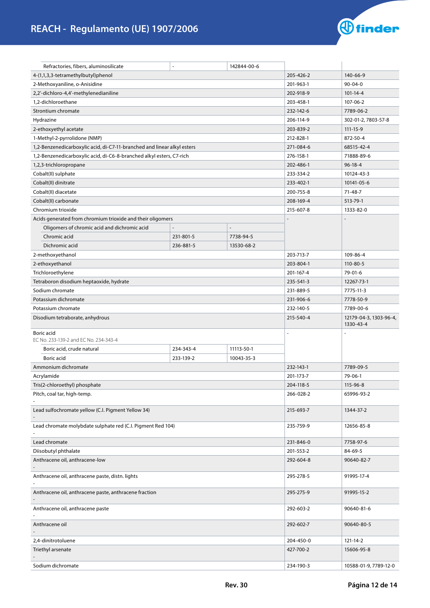

| Refractories, fibers, aluminosilicate                                   |           | 142844-00-6 |           |                                     |
|-------------------------------------------------------------------------|-----------|-------------|-----------|-------------------------------------|
| 4-(1,1,3,3-tetramethylbutyl)phenol                                      |           |             | 205-426-2 | 140-66-9                            |
| 2-Methoxyaniline, o-Anisidine                                           |           |             | 201-963-1 | $90 - 04 - 0$                       |
| 2,2'-dichloro-4,4'-methylenedianiline                                   |           |             | 202-918-9 | $101 - 14 - 4$                      |
| 1,2-dichloroethane                                                      |           |             | 203-458-1 | 107-06-2                            |
| Strontium chromate                                                      |           |             | 232-142-6 | 7789-06-2                           |
| Hydrazine                                                               |           |             | 206-114-9 | 302-01-2, 7803-57-8                 |
| 2-ethoxyethyl acetate                                                   |           |             | 203-839-2 | $111 - 15 - 9$                      |
| 1-Methyl-2-pyrrolidone (NMP)                                            |           |             | 212-828-1 | 872-50-4                            |
| 1,2-Benzenedicarboxylic acid, di-C7-11-branched and linear alkyl esters |           |             | 271-084-6 | 68515-42-4                          |
| 1,2-Benzenedicarboxylic acid, di-C6-8-branched alkyl esters, C7-rich    |           |             | 276-158-1 | 71888-89-6                          |
| 1,2,3-trichloropropane                                                  |           |             | 202-486-1 | $96 - 18 - 4$                       |
| Cobalt(II) sulphate                                                     |           |             | 233-334-2 | 10124-43-3                          |
| Cobalt(II) dinitrate                                                    |           |             | 233-402-1 | 10141-05-6                          |
| Cobalt(II) diacetate                                                    |           |             | 200-755-8 | 71-48-7                             |
| Cobalt(II) carbonate                                                    |           |             | 208-169-4 | 513-79-1                            |
| Chromium trioxide                                                       |           |             | 215-607-8 | 1333-82-0                           |
| Acids generated from chromium trioxide and their oligomers              |           |             |           |                                     |
| Oligomers of chromic acid and dichromic acid                            |           |             |           |                                     |
| Chromic acid                                                            | 231-801-5 | 7738-94-5   |           |                                     |
| Dichromic acid                                                          | 236-881-5 | 13530-68-2  |           |                                     |
| 2-methoxyethanol                                                        |           |             | 203-713-7 | 109-86-4                            |
| 2-ethoxyethanol                                                         |           |             | 203-804-1 | $110 - 80 - 5$                      |
| Trichloroethylene                                                       |           |             | 201-167-4 | 79-01-6                             |
| Tetraboron disodium heptaoxide, hydrate                                 |           |             | 235-541-3 | 12267-73-1                          |
| Sodium chromate                                                         |           |             | 231-889-5 | 7775-11-3                           |
| Potassium dichromate                                                    |           |             | 231-906-6 | 7778-50-9                           |
| Potassium chromate                                                      |           |             | 232-140-5 | 7789-00-6                           |
| Disodium tetraborate, anhydrous                                         |           |             | 215-540-4 | 12179-04-3, 1303-96-4,<br>1330-43-4 |
| Boric acid<br>EC No. 233-139-2 and EC No. 234-343-4                     |           |             | ÷,        |                                     |
| Boric acid, crude natural                                               | 234-343-4 | 11113-50-1  |           |                                     |
| Boric acid                                                              | 233-139-2 | 10043-35-3  |           |                                     |
| Ammonium dichromate                                                     |           |             | 232-143-1 | 7789-09-5                           |
| Acrylamide                                                              |           |             | 201-173-7 | 79-06-1                             |
| Tris(2-chloroethyl) phosphate                                           |           |             | 204-118-5 | 115-96-8                            |
| Pitch, coal tar, high-temp.                                             |           |             | 266-028-2 | 65996-93-2                          |
| Lead sulfochromate yellow (C.I. Pigment Yellow 34)                      |           |             | 215-693-7 | 1344-37-2                           |
| Lead chromate molybdate sulphate red (C.I. Pigment Red 104)             |           |             | 235-759-9 | 12656-85-8                          |
| Lead chromate                                                           |           |             | 231-846-0 | 7758-97-6                           |
| Diisobutyl phthalate                                                    |           |             | 201-553-2 | 84-69-5                             |
| Anthracene oil, anthracene-low                                          |           |             | 292-604-8 | 90640-82-7                          |
| Anthracene oil, anthracene paste, distn. lights                         |           |             | 295-278-5 | 91995-17-4                          |
| Anthracene oil, anthracene paste, anthracene fraction                   |           |             | 295-275-9 | 91995-15-2                          |
| Anthracene oil, anthracene paste                                        |           |             | 292-603-2 | 90640-81-6                          |
| Anthracene oil                                                          |           |             | 292-602-7 | 90640-80-5                          |
| 2,4-dinitrotoluene                                                      |           |             | 204-450-0 | 121-14-2                            |
| Triethyl arsenate                                                       |           |             | 427-700-2 | 15606-95-8                          |
| Sodium dichromate                                                       |           |             | 234-190-3 | 10588-01-9, 7789-12-0               |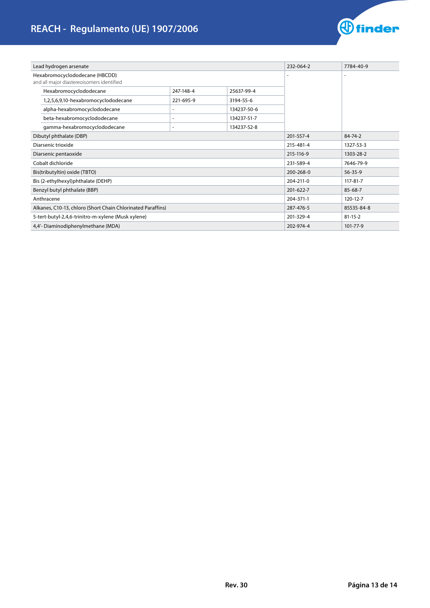# **REACH - Regulamento (UE) 1907/2006**



| Lead hydrogen arsenate                                                      |                                                             |                          | 232-064-2   | 7784-40-9 |               |
|-----------------------------------------------------------------------------|-------------------------------------------------------------|--------------------------|-------------|-----------|---------------|
| Hexabromocyclododecane (HBCDD)<br>and all major diastereoisomers identified |                                                             |                          |             |           |               |
| Hexabromocyclododecane                                                      |                                                             | 247-148-4                | 25637-99-4  |           |               |
|                                                                             | 1,2,5,6,9,10-hexabromocyclododecane                         | 221-695-9                | 3194-55-6   |           |               |
| alpha-hexabromocyclododecane                                                |                                                             |                          | 134237-50-6 |           |               |
| beta-hexabromocyclododecane                                                 |                                                             |                          | 134237-51-7 |           |               |
| gamma-hexabromocyclododecane                                                |                                                             | $\overline{\phantom{a}}$ | 134237-52-8 |           |               |
| Dibutyl phthalate (DBP)                                                     |                                                             |                          |             | 201-557-4 | 84-74-2       |
| Diarsenic trioxide                                                          |                                                             |                          | 215-481-4   | 1327-53-3 |               |
| Diarsenic pentaoxide                                                        |                                                             |                          |             | 215-116-9 | 1303-28-2     |
| Cobalt dichloride                                                           |                                                             |                          |             | 231-589-4 | 7646-79-9     |
| Bis(tributyltin) oxide (TBTO)                                               |                                                             |                          |             | 200-268-0 | $56 - 35 - 9$ |
| Bis (2-ethylhexyl)phthalate (DEHP)                                          |                                                             |                          |             | 204-211-0 | 117-81-7      |
| Benzyl butyl phthalate (BBP)                                                |                                                             |                          |             | 201-622-7 | $85 - 68 - 7$ |
| Anthracene                                                                  |                                                             |                          | 204-371-1   | 120-12-7  |               |
|                                                                             | Alkanes, C10-13, chloro (Short Chain Chlorinated Paraffins) |                          |             | 287-476-5 | 85535-84-8    |
|                                                                             | 5-tert-butyl-2,4,6-trinitro-m-xylene (Musk xylene)          |                          |             | 201-329-4 | $81 - 15 - 2$ |
| 4,4'- Diaminodiphenylmethane (MDA)                                          |                                                             |                          |             | 202-974-4 | 101-77-9      |